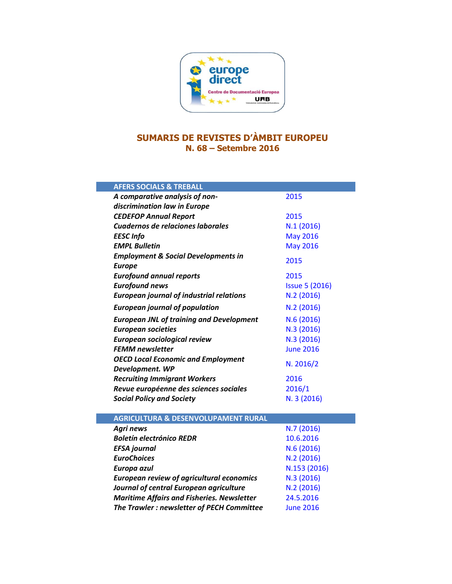

## **SUMARIS DE REVISTES D'ÀMBIT EUROPEU N. 68 – Setembre 2016**

| <b>AFERS SOCIALS &amp; TREBALL</b>                |                       |
|---------------------------------------------------|-----------------------|
| A comparative analysis of non-                    | 2015                  |
| discrimination law in Europe                      |                       |
| <b>CEDEFOP Annual Report</b>                      | 2015                  |
| Cuadernos de relaciones laborales                 | N.1(2016)             |
| <b>EESC</b> Info                                  | <b>May 2016</b>       |
| <b>EMPL Bulletin</b>                              | <b>May 2016</b>       |
| <b>Employment &amp; Social Developments in</b>    | 2015                  |
| <b>Europe</b>                                     |                       |
| <b>Eurofound annual reports</b>                   | 2015                  |
| <b>Eurofound news</b>                             | <b>Issue 5 (2016)</b> |
| <b>European journal of industrial relations</b>   | N.2 (2016)            |
| <b>European journal of population</b>             | N.2 (2016)            |
| <b>European JNL of training and Development</b>   | N.6(2016)             |
| <b>European societies</b>                         | N.3 (2016)            |
| European sociological review                      | N.3 (2016)            |
| <b>FEMM newsletter</b>                            | <b>June 2016</b>      |
| <b>OECD Local Economic and Employment</b>         | N. 2016/2             |
| Development. WP                                   |                       |
| <b>Recruiting Immigrant Workers</b>               | 2016                  |
| Revue européenne des sciences sociales            | 2016/1                |
| <b>Social Policy and Society</b>                  | N. 3 (2016)           |
|                                                   |                       |
| <b>AGRICULTURA &amp; DESENVOLUPAMENT RURAL</b>    |                       |
| <b>Agri news</b>                                  | N.7 (2016)            |
| <b>Boletín electrónico REDR</b>                   | 10.6.2016             |
| <b>EFSA</b> journal                               | N.6 (2016)            |
| <b>EuroChoices</b>                                | N.2 (2016)            |
| Europa azul                                       | N.153 (2016)          |
| <b>European review of agricultural economics</b>  | N.3 (2016)            |
| Journal of central European agriculture           | N.2 (2016)            |
| <b>Maritime Affairs and Fisheries. Newsletter</b> | 24.5.2016             |
| The Trawler : newsletter of PECH Committee        | <b>June 2016</b>      |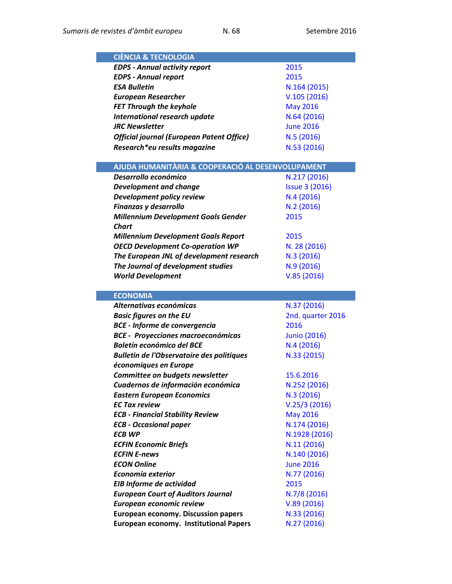| <b>CIÈNCIA &amp; TECNOLOGIA</b>                   |                       |
|---------------------------------------------------|-----------------------|
| <b>EDPS - Annual activity report</b>              | 2015                  |
| <b>EDPS - Annual report</b>                       | 2015                  |
| <b>ESA Bulletin</b>                               | N.164 (2015)          |
| <b>European Researcher</b>                        | V.105(2016)           |
| <b>FET Through the keyhole</b>                    | <b>May 2016</b>       |
| International research update                     | N.64 (2016)           |
| <b>JRC</b> Newsletter                             | <b>June 2016</b>      |
| <b>Official journal (European Patent Office)</b>  | N.5(2016)             |
| Research*eu results magazine                      | N.53 (2016)           |
|                                                   |                       |
| AJUDA HUMANITÀRIA & COOPERACIÓ AL DESENVOLUPAMENT |                       |
| Desarrollo económico                              | N.217 (2016)          |
| <b>Development and change</b>                     | <b>Issue 3 (2016)</b> |
| Development policy review                         | N.4(2016)             |
| Finanzas y desarrollo                             | N.2(2016)             |
| <b>Millennium Development Goals Gender</b>        | 2015                  |
|                                                   |                       |

| Chart                                      |              |
|--------------------------------------------|--------------|
| <b>Millennium Development Goals Report</b> | 2015         |
| <b>OECD Development Co-operation WP</b>    | N. 28 (2016) |
| The European JNL of development research   | N.3(2016)    |
| The Journal of development studies         | N.9(2016)    |
| <b>World Development</b>                   | V.85(2016)   |

| <b>ECONOMIA</b>                                  |                     |
|--------------------------------------------------|---------------------|
| Alternativas económicas                          | N.37 (2016)         |
| <b>Basic figures on the EU</b>                   | 2nd. quarter 2016   |
| <b>BCE - Informe de convergencia</b>             | 2016                |
| <b>BCE - Proyecciones macroeconómicas</b>        | <b>Junio (2016)</b> |
| <b>Boletín económico del BCE</b>                 | N.4(2016)           |
| <b>Bulletin de l'Observatoire des politiques</b> | N.33 (2015)         |
| économiques en Europe                            |                     |
| Committee on budgets newsletter                  | 15.6.2016           |
| Cuadernos de información económica               | N.252 (2016)        |
| <b>Eastern European Economics</b>                | N.3 (2016)          |
| <b>EC Tax review</b>                             | V.25/3(2016)        |
| <b>ECB - Financial Stability Review</b>          | <b>May 2016</b>     |
| <b>ECB - Occasional paper</b>                    | N.174 (2016)        |
| <b>ECB WP</b>                                    | N.1928 (2016)       |
| <b>ECFIN Economic Briefs</b>                     | N.11 (2016)         |
| <b>ECFIN E-news</b>                              | N.140 (2016)        |
| <b>ECON Online</b>                               | <b>June 2016</b>    |
| Economía exterior                                | N.77 (2016)         |
| EIB Informe de actividad                         | 2015                |
| <b>European Court of Auditors Journal</b>        | N.7/8(2016)         |
| European economic review                         | V.89(2016)          |
| <b>European economy. Discussion papers</b>       | N.33 (2016)         |
| <b>European economy. Institutional Papers</b>    | N.27 (2016)         |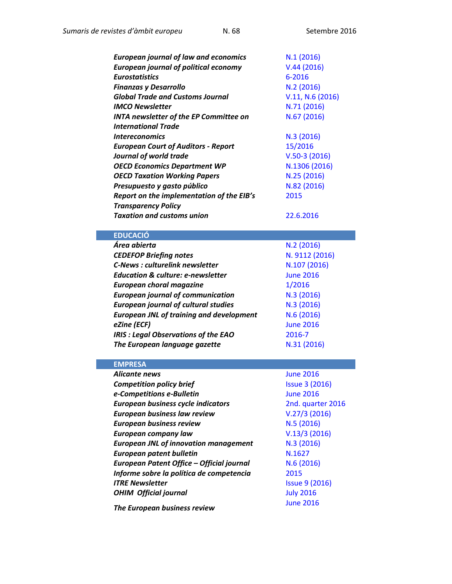| <b>European journal of law and economics</b>    | N.1(2016)             |
|-------------------------------------------------|-----------------------|
| <b>European journal of political economy</b>    | V.44(2016)            |
| <b>Eurostatistics</b>                           | 6-2016                |
| <b>Finanzas y Desarrollo</b>                    | N.2(2016)             |
| <b>Global Trade and Customs Journal</b>         | V.11, N.6 (2016)      |
| <b>IMCO Newsletter</b>                          | N.71 (2016)           |
| <b>INTA newsletter of the EP Committee on</b>   | N.67 (2016)           |
| <b>International Trade</b>                      |                       |
| <i><b>Intereconomics</b></i>                    | N.3(2016)             |
| <b>European Court of Auditors - Report</b>      | 15/2016               |
| Journal of world trade                          | $V.50-3(2016)$        |
| <b>OECD Economics Department WP</b>             | N.1306 (2016)         |
| <b>OECD Taxation Working Papers</b>             | N.25 (2016)           |
| Presupuesto y gasto público                     | N.82 (2016)           |
| Report on the implementation of the EIB's       | 2015                  |
| <b>Transparency Policy</b>                      |                       |
| <b>Taxation and customs union</b>               | 22.6.2016             |
|                                                 |                       |
| <b>EDUCACIÓ</b>                                 |                       |
| Área abierta                                    | N.2(2016)             |
| <b>CEDEFOP Briefing notes</b>                   | N. 9112 (2016)        |
| <b>C-News: culturelink newsletter</b>           | N.107 (2016)          |
| <b>Education &amp; culture: e-newsletter</b>    | <b>June 2016</b>      |
| <b>European choral magazine</b>                 | 1/2016                |
| <b>European journal of communication</b>        | N.3(2016)             |
| <b>European journal of cultural studies</b>     | N.3(2016)             |
| <b>European JNL of training and development</b> | N.6(2016)             |
| eZine (ECF)                                     | <b>June 2016</b>      |
| <b>IRIS : Legal Observations of the EAO</b>     | 2016-7                |
| The European language gazette                   | N.31 (2016)           |
|                                                 |                       |
| <b>EMPRESA</b>                                  |                       |
| Alicante news                                   | <b>June 2016</b>      |
| <b>Competition policy brief</b>                 | <b>Issue 3 (2016)</b> |
| e-Competitions e-Bulletin                       | <b>June 2016</b>      |
| European business cycle indicators              | 2nd. quarter 2016     |
| European business law review                    | V.27/3(2016)          |
| <b>European business review</b>                 | N.5 (2016)            |
| <b>European company law</b>                     | V.13/3(2016)          |
| <b>European JNL of innovation management</b>    | N.3 (2016)            |
| <b>European patent bulletin</b>                 | N.1627                |
| European Patent Office - Official journal       | N.6(2016)             |
| Informe sobre la política de competencia        | 2015                  |
| <b>ITRE Newsletter</b>                          | <b>Issue 9 (2016)</b> |
| <b>OHIM Official journal</b>                    | <b>July 2016</b>      |

**The European business review** *June [2016](http://www.exacteditions.com/browse/20972/21852)*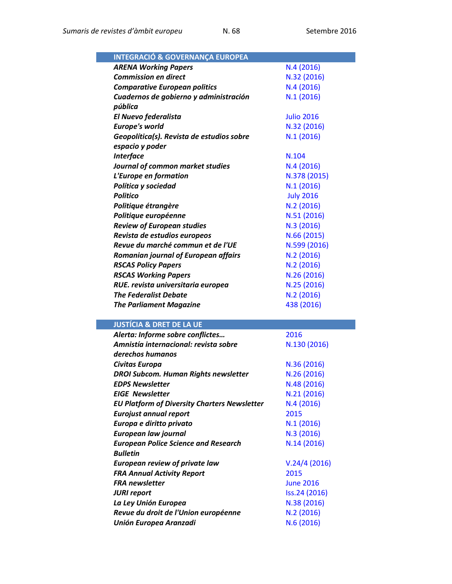| <b>INTEGRACIÓ &amp; GOVERNANÇA EUROPEA</b> |                   |
|--------------------------------------------|-------------------|
| <b>ARENA Working Papers</b>                | N.4(2016)         |
| <b>Commission en direct</b>                | N.32 (2016)       |
| <b>Comparative European politics</b>       | N.4(2016)         |
| Cuadernos de gobierno y administración     | N.1(2016)         |
| pública                                    |                   |
| El Nuevo federalista                       | <b>Julio 2016</b> |
| <b>Europe's world</b>                      | N.32 (2016)       |
| Geopolítica(s). Revista de estudios sobre  | N.1(2016)         |
| espacio y poder                            |                   |
| <b>Interface</b>                           | N.104             |
| Journal of common market studies           | N.4(2016)         |
| L'Europe en formation                      | N.378 (2015)      |
| Política y sociedad                        | N.1(2016)         |
| <b>Politico</b>                            | <b>July 2016</b>  |
| Politique étrangère                        | N.2(2016)         |
| Politique européenne                       | N.51 (2016)       |
| <b>Review of European studies</b>          | N.3 (2016)        |
| Revista de estudios europeos               | N.66 (2015)       |
| Revue du marché commun et de l'UE          | N.599 (2016)      |
| Romanian journal of European affairs       | N.2(2016)         |
| <b>RSCAS Policy Papers</b>                 | N.2(2016)         |
| <b>RSCAS Working Papers</b>                | N.26 (2016)       |
| RUE. revista universitaria europea         | N.25 (2016)       |
| <b>The Federalist Debate</b>               | N.2(2016)         |
| <b>The Parliament Magazine</b>             | 438 (2016)        |
|                                            |                   |

## **JUSTÍCIA & DRET DE LA UE**

| Alerta: Informe sobre conflictes                    | 2016             |
|-----------------------------------------------------|------------------|
| Amnistía internacional: revista sobre               | N.130 (2016)     |
| derechos humanos                                    |                  |
| Civitas Europa                                      | N.36 (2016)      |
| <b>DROI Subcom. Human Rights newsletter</b>         | N.26 (2016)      |
| <b>EDPS Newsletter</b>                              | N.48 (2016)      |
| <b>EIGE</b> Newsletter                              | N.21 (2016)      |
| <b>EU Platform of Diversity Charters Newsletter</b> | N.4(2016)        |
| <b>Eurojust annual report</b>                       | 2015             |
| Europa e diritto privato                            | N.1(2016)        |
| European law journal                                | N.3 (2016)       |
| <b>European Police Science and Research</b>         | N.14(2016)       |
| <b>Bulletin</b>                                     |                  |
| <b>European review of private law</b>               | V.24/4(2016)     |
| <b>FRA Annual Activity Report</b>                   | 2015             |
| <b>FRA</b> newsletter                               | <b>June 2016</b> |
| <b>JURI report</b>                                  | Iss.24 (2016)    |
| La Ley Unión Europea                                | N.38 (2016)      |
| Revue du droit de l'Union européenne                | N.2 (2016)       |
| <b>Unión Europea Aranzadi</b>                       | N.6(2016)        |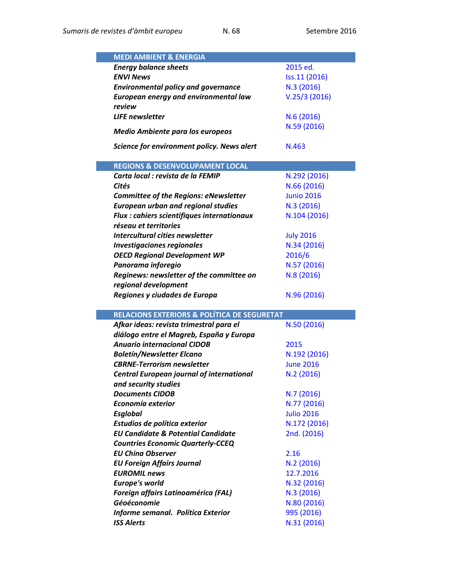| <b>MEDI AMBIENT &amp; ENERGIA</b>                      |                   |
|--------------------------------------------------------|-------------------|
|                                                        |                   |
| <b>Energy balance sheets</b>                           | 2015 ed.          |
| <b>ENVI News</b>                                       | Iss.11 (2016)     |
| <b>Environmental policy and governance</b>             | N.3 (2016)        |
| European energy and environmental law                  | V.25/3(2016)      |
| review                                                 |                   |
| <b>LIFE</b> newsletter                                 | N.6 (2016)        |
| <b>Medio Ambiente para los europeos</b>                | N.59 (2016)       |
|                                                        |                   |
| Science for environment policy. News alert             | N.463             |
|                                                        |                   |
| <b>REGIONS &amp; DESENVOLUPAMENT LOCAL</b>             |                   |
| Carta local : revista de la FEMIP                      | N.292 (2016)      |
| Cités                                                  | N.66 (2016)       |
| <b>Committee of the Regions: eNewsletter</b>           | <b>Junio 2016</b> |
| <b>European urban and regional studies</b>             | N.3 (2016)        |
| <b>Flux : cahiers scientifiques internationaux</b>     | N.104 (2016)      |
| réseau et territories                                  |                   |
| Intercultural cities newsletter                        | <b>July 2016</b>  |
| <b>Investigaciones regionales</b>                      | N.34 (2016)       |
| <b>OECD Regional Development WP</b>                    | 2016/6            |
| Panorama inforegio                                     | N.57 (2016)       |
| Reginews: newsletter of the committee on               | N.8 (2016)        |
| regional development                                   |                   |
| Regiones y ciudades de Europa                          | N.96 (2016)       |
|                                                        |                   |
| <b>RELACIONS EXTERIORS &amp; POLÍTICA DE SEGURETAT</b> |                   |
| Afkar ideas: revista trimestral para el                | N.50 (2016)       |
| diálogo entre el Magreb, España y Europa               |                   |
| <b>Anuario internacional CIDOB</b>                     | 2015              |
| <b>Boletín/Newsletter Elcano</b>                       | N.192 (2016)      |
| <b>CBRNE-Terrorism newsletter</b>                      | <b>June 2016</b>  |
| <b>Central European journal of international</b>       | N.2 (2016)        |
| and security studies                                   |                   |
| <b>Documents CIDOB</b>                                 | N.7(2016)         |
| Economía exterior                                      | N.77 (2016)       |
| <b>Esglobal</b>                                        | <b>Julio 2016</b> |
| Estudios de política exterior                          | N.172 (2016)      |
| <b>EU Candidate &amp; Potential Candidate</b>          | 2nd. (2016)       |
| <b>Countries Economic Quarterly-CCEQ</b>               |                   |
| <b>EU China Observer</b>                               | 2.16              |
| <b>EU Foreign Affairs Journal</b>                      | N.2(2016)         |
| <b>EUROMIL news</b>                                    | 12.7.2016         |
| <b>Europe's world</b>                                  |                   |
|                                                        | N.32 (2016)       |

**Foreign affairs Latinoamérica (FAL) N.3 [\(2016\)](http://revistafal.com/fal-16-3/)** *Géoéconomie* N.80 [\(2016\)](http://www.cairn.info/revue-geoeconomie-2016-3.htm) *Informe semanal. Política Exterior* 995 [\(2016\)](http://www.politicaexterior.com/informe-semanal/) *ISS Alerts* **N.31 [\(2016\)](http://www.iss.europa.eu/publications/detail/article/china-in-the-middle-east-not-just-about-oil/)**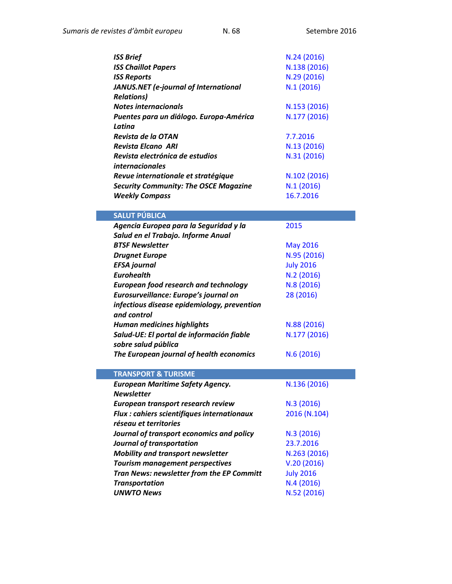| <b>ISS Brief</b>                             | N.24 (2016)      |
|----------------------------------------------|------------------|
| <b>ISS Chaillot Papers</b>                   | N.138 (2016)     |
| <b>ISS Reports</b>                           | N.29 (2016)      |
| JANUS.NET (e-journal of International        | N.1(2016)        |
| <b>Relations)</b>                            |                  |
| <b>Notes internacionals</b>                  | N.153 (2016)     |
| Puentes para un diálogo. Europa-América      | N.177 (2016)     |
| Latina                                       |                  |
| Revista de la OTAN                           | 7.7.2016         |
| <b>Revista Elcano ARI</b>                    | N.13 (2016)      |
| Revista electrónica de estudios              | N.31 (2016)      |
| <i>internacionales</i>                       |                  |
| Revue internationale et stratégique          | N.102 (2016)     |
| <b>Security Community: The OSCE Magazine</b> | N.1(2016)        |
| <b>Weekly Compass</b>                        | 16.7.2016        |
|                                              |                  |
| <b>SALUT PÚBLICA</b>                         |                  |
| Agencia Europea para la Seguridad y la       | 2015             |
| Salud en el Trabajo. Informe Anual           |                  |
| <b>BTSF Newsletter</b>                       | <b>May 2016</b>  |
| <b>Drugnet Europe</b>                        | N.95 (2016)      |
| <b>EFSA</b> journal                          | <b>July 2016</b> |
| <b>Eurohealth</b>                            | N.2(2016)        |
| <b>European food research and technology</b> | N.8 (2016)       |
| Eurosurveillance: Europe's journal on        | 28 (2016)        |
| infectious disease epidemiology, prevention  |                  |
| and control                                  |                  |
| <b>Human medicines highlights</b>            | N.88 (2016)      |
| Salud-UE: El portal de información fiable    | N.177 (2016)     |
| sobre salud pública                          |                  |
| The European journal of health economics     | N.6(2016)        |
|                                              |                  |
| <b>TRANSPORT &amp; TURISME</b>               |                  |
| <b>European Maritime Safety Agency.</b>      | N.136 (2016)     |
| <b>Newsletter</b>                            |                  |
| European transport research review           | N.3(2016)        |
| Flux : cahiers scientifiques internationaux  | 2016 (N.104)     |
| réseau et territories                        |                  |
| Journal of transport economics and policy    | N.3 (2016)       |
| Journal of transportation                    | 23.7.2016        |
| <b>Mobility and transport newsletter</b>     | N.263 (2016)     |
| <b>Tourism management perspectives</b>       | V.20(2016)       |
| Tran News: newsletter from the EP Committ    | <b>July 2016</b> |
| <b>Transportation</b>                        | N.4(2016)        |
| <b>UNWTO News</b>                            | N.52 (2016)      |